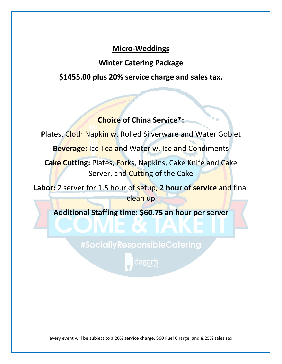# **Micro-Weddings**

# **Winter Catering Package**

**\$1455.00 plus 20% service charge and sales tax.**

# **Choice of China Service\*:**

Plates, Cloth Napkin w. Rolled Silverware and Water Goblet

Beverage: Ice Tea and Water w. Ice and Condiments

**Cake Cutting:** Plates, Forks, Napkins, Cake Knife and Cake Server, and Cutting of the Cake

**Labor:** 2 server for 1.5 hour of setup, **2 hour of service** and final clean up

**Additional Staffing time: \$60.75 an hour per server**

#SociallyResponsibleCatering

dagar's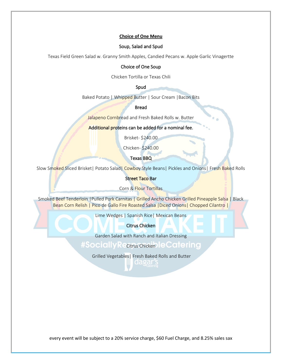# **Choice of One Menu**

# Soup, Salad and Spud

Texas Field Green Salad w. Granny Smith Apples, Candied Pecans w. Apple Garlic Vinagertte

# Choice of One Soup

Chicken Tortilla or Texas Chili

## Spud

Baked Potato | Whipped Butter | Sour Cream | Bacon Bits

# Bread

Jalapeno Cornbread and Fresh Baked Rolls w. Butter

## Additional proteins can be added for a nominal fee.

Brisket- \$240.00

Chicken- \$240.00

Texas BBQ

Slow Smoked Sliced Brisket| Potato Salad| Cowboy Style Beans| Pickles and Onions| Fresh Baked Rolls

Street Taco Bar

Corn & Flour Tortillas

Smoked Beef Tenderloin |Pulled Pork Carnitas | Grilled Ancho Chicken Grilled Pineapple Salsa | Black Bean Corn Relish | Pico de Gallo Fire Roasted Salsa | Diced Onions | Chopped Cilantro |

Lime Wedges | Spanish Rice| Mexican Beans

# Citrus Chicken

Garden Salad with Ranch and Italian Dressing

# #Socially Recitrus chicken le Catering

Grilled Vegetables| Fresh Baked Rolls and Butter

dagar s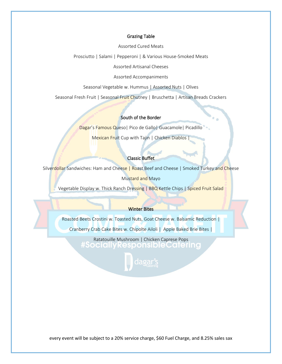## Grazing Table

Assorted Cured Meats

Prosciutto | Salami | Pepperoni | & Various House-Smoked Meats

Assorted Artisanal Cheeses

Assorted Accompaniments

Seasonal Vegetable w. Hummus | Assorted Nuts | Olives

Seasonal Fresh Fruit | Seasonal Fruit Chutney | Bruschetta | Artisan Breads Crackers

## South of the Border

Dagar's Famous Queso | Pico de Gallo | Guacamole | Picadillo

Mexican Fruit Cup with Tajin | Chicken Diablos

## Classic Buffet

Silverdollar Sandwiches: Ham and Cheese | Roast Beef and Cheese | Smoked Turkey and Cheese

Mustard and Mayo

Vegetable Display w. Thick Ranch Dressing | BBQ Kettle Chips | Spiced Fruit Salad

#### Winter Bites

Roasted Beets Crostini w. Toasted Nuts, Goat Cheese w. Balsamic Reduction |

Cranberry Crab Cake Bites w. Chipolte Ailoli | Apple Baked Brie Bites |

Ratatouille Mushroom | Chicken Caprese Pops#SociallyResponsibleCaterina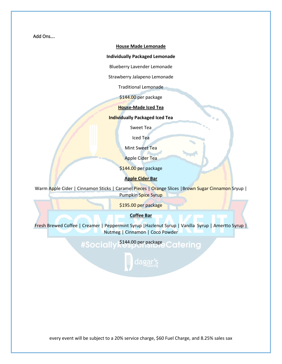Add Ons….

### **House Made Lemonade**

## **Individually Packaged Lemonade**

Blueberry Lavender Lemonade

Strawberry Jalapeno Lemonade

Traditional Lemonade

\$144.00 per package

**House-Made Iced Tea**

**Individually Packaged Iced Tea**

Sweet Tea

Iced Tea

Mint Sweet Tea

Apple Cider Tea

\$144.00 per package

## **Apple Cider Bar**

Warm Apple Cider | Cinnamon Sticks | Caramel Pieces | Orange Slices | Brown Sugar Cinnamon Sryup | Pumpkin Spice Syrup

\$195.00 per package

**Coffee Bar**

Fresh Brewed Coffee | Creamer | Peppermint Syrup | Hazlenut Syrup | Vanilla Syrup | Amertto Syrup | Nutmeg | Cinnamon | Coco Powder

> \$144.00 per package Cotering **#Socially**

> > dagar's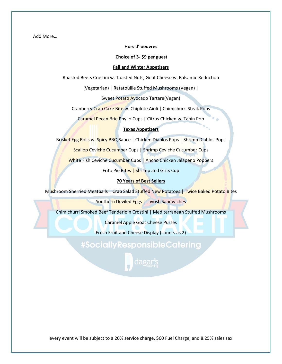Add More…

## **Hors d' oeuvres**

**Choice of 3- \$9 per guest**

### **Fall and Winter Appetizers**

Roasted Beets Crostini w. Toasted Nuts, Goat Cheese w. Balsamic Reduction

(Vegetarian) | Ratatouille Stuffed Mushrooms (Vegan) |

Sweet Potato Avocado Tartare(Vegan)

Cranberry Crab Cake Bite w. Chiplote Aioli | Chimichurri Steak Pops

Caramel Pecan Brie Phyllo Cups | Citrus Chicken w. Tahin Pop

# **Texas Appetizers**

Brisket Egg Rolls w. Spicy BBQ Sauce | Chicken Diablos Pops | Shrimp Diablos Pops

Scallop Ceviche Cucumber Cups | Shrimp Ceviche Cucumber Cups

White Fish Ceviche Cucumber Cups | Ancho Chicken Jalapeno Poppers

Frito Pie Bites | Shrimp and Grits Cup

## **70 Years of Best Sellers**

Mushroom Sherried Meatballs | Crab Salad Stuffed New Potatoes | Twice Baked Potato Bites

Southern Deviled Eggs | Lavosh Sandwiches

Chimichurri Smoked Beef Tenderloin Crostini | Mediterranean Stuffed Mushrooms

Caramel Apple Goat Cheese Purses

Fresh Fruit and Cheese Display (counts as 2)

#SociallyResponsibleCatering

dagar's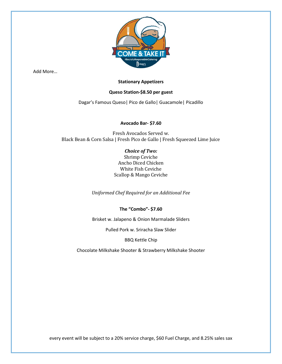

Add More…

# **Stationary Appetizers**

# **Queso Station-\$8.50 per guest**

Dagar's Famous Queso| Pico de Gallo| Guacamole| Picadillo

# **Avocado Bar- \$7.60**

Fresh Avocados Served w. Black Bean & Corn Salsa | Fresh Pico de Gallo | Fresh Squeezed Lime Juice

# *Choice of Two:*

Shrimp Ceviche Ancho Diced Chicken White Fish Ceviche Scallop & Mango Ceviche

*Uniformed Chef Required for an Additional Fee*

**The "Combo"- \$7.60**

Brisket w. Jalapeno & Onion Marmalade Sliders

Pulled Pork w. Sriracha Slaw Slider

# BBQ Kettle Chip

Chocolate Milkshake Shooter & Strawberry Milkshake Shooter